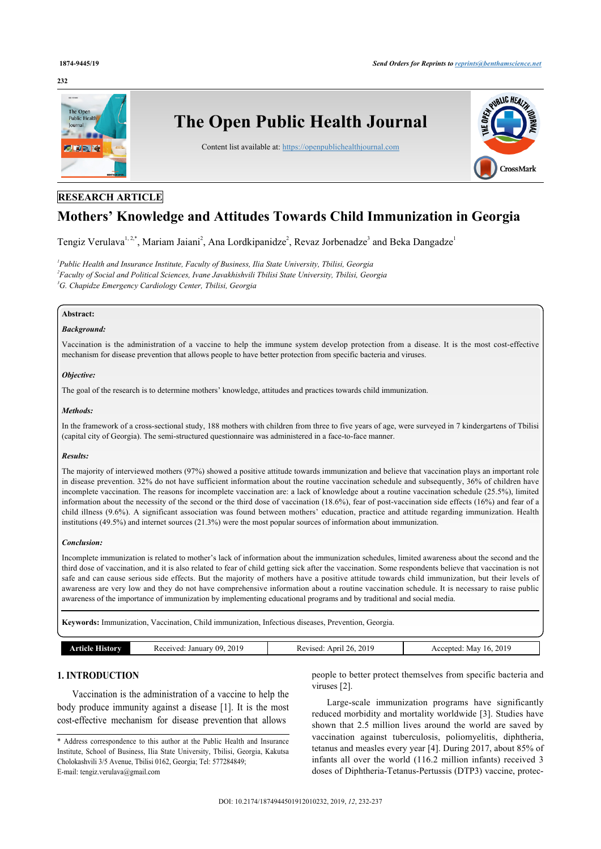## **232**



## **RESEARCH ARTICLE**

# **Mothers' Knowledge and Attitudes Towards Child Immunization in Georgia**

Tengiz Verulava<sup>[1](#page-0-0), [2](#page-0-1)[,\\*](#page-0-2)</sup>, Mariam Jaiani<sup>[2](#page-0-1)</sup>, Ana Lordkipanidze<sup>2</sup>, Revaz Jorbenadze<sup>[3](#page-0-3)</sup> and Beka Dangadze<sup>1</sup>

<span id="page-0-3"></span><span id="page-0-1"></span><span id="page-0-0"></span>*1 Public Health and Insurance Institute, Faculty of Business, Ilia State University, Tbilisi, Georgia 2 Faculty of Social and Political Sciences, Ivane Javakhishvili Tbilisi State University, Tbilisi, Georgia <sup>3</sup>G. Chapidze Emergency Cardiology Center, Tbilisi, Georgia*

## **Abstract:**

## *Background:*

Vaccination is the administration of a vaccine to help the immune system develop protection from a disease. It is the most cost-effective mechanism for disease prevention that allows people to have better protection from specific bacteria and viruses.

## *Objective:*

The goal of the research is to determine mothers' knowledge, attitudes and practices towards child immunization.

#### *Methods:*

In the framework of a cross-sectional study, 188 mothers with children from three to five years of age, were surveyed in 7 kindergartens of Tbilisi (capital city of Georgia). The semi-structured questionnaire was administered in a face-to-face manner.

## *Results:*

The majority of interviewed mothers (97%) showed a positive attitude towards immunization and believe that vaccination plays an important role in disease prevention. 32% do not have sufficient information about the routine vaccination schedule and subsequently, 36% of children have incomplete vaccination. The reasons for incomplete vaccination are: a lack of knowledge about a routine vaccination schedule (25.5%), limited information about the necessity of the second or the third dose of vaccination (18.6%), fear of post-vaccination side effects (16%) and fear of a child illness (9.6%). A significant association was found between mothers' education, practice and attitude regarding immunization. Health institutions (49.5%) and internet sources (21.3%) were the most popular sources of information about immunization.

## *Conclusion:*

Incomplete immunization is related to mother's lack of information about the immunization schedules, limited awareness about the second and the third dose of vaccination, and it is also related to fear of child getting sick after the vaccination. Some respondents believe that vaccination is not safe and can cause serious side effects. But the majority of mothers have a positive attitude towards child immunization, but their levels of awareness are very low and they do not have comprehensive information about a routine vaccination schedule. It is necessary to raise public awareness of the importance of immunization by implementing educational programs and by traditional and social media.

**Keywords:** Immunization, Vaccination, Child immunization, Infectious diseases, Prevention, Georgia.

| Januar<br>114<br>$\sim$<br>NGA.<br>.<br>. | ,,,<br>$\overline{\phantom{a}}$<br>۱nrı<br>$\sim$<br>Ke <sup>v</sup><br>. | .201 <sup>c</sup><br>-NI av<br>าทเ∟ |
|-------------------------------------------|---------------------------------------------------------------------------|-------------------------------------|
|                                           |                                                                           |                                     |

## **1. INTRODUCTION**

Vaccination is the administration of a vaccine to help the body produce immunity against a disease [\[1](#page-5-0)]. It is the most cost-effective mechanism for disease prevention that allows

people to better protect themselves from specific bacteria and viruses [[2](#page-5-1)].

Large-scale immunization programs have significantly reduced morbidity and mortality worldwide [\[3\]](#page-5-2). Studies have shown that 2.5 million lives around the world are saved by vaccination against tuberculosis, poliomyelitis, diphtheria, tetanus and measles every year [[4](#page-5-3)]. During 2017, about 85% of infants all over the world (116.2 million infants) received 3 doses of Diphtheria-Tetanus-Pertussis (DTP3) vaccine, protec-

<span id="page-0-2"></span><sup>\*</sup> Address correspondence to this author at the Public Health and Insurance Institute, School of Business, Ilia State University, Tbilisi, Georgia, Kakutsa Cholokashvili 3/5 Avenue, Tbilisi 0162, Georgia; Tel: 577284849; E-mail: [tengiz.verulava@gmail.com](mailto:tengiz.verulava@gmail.com)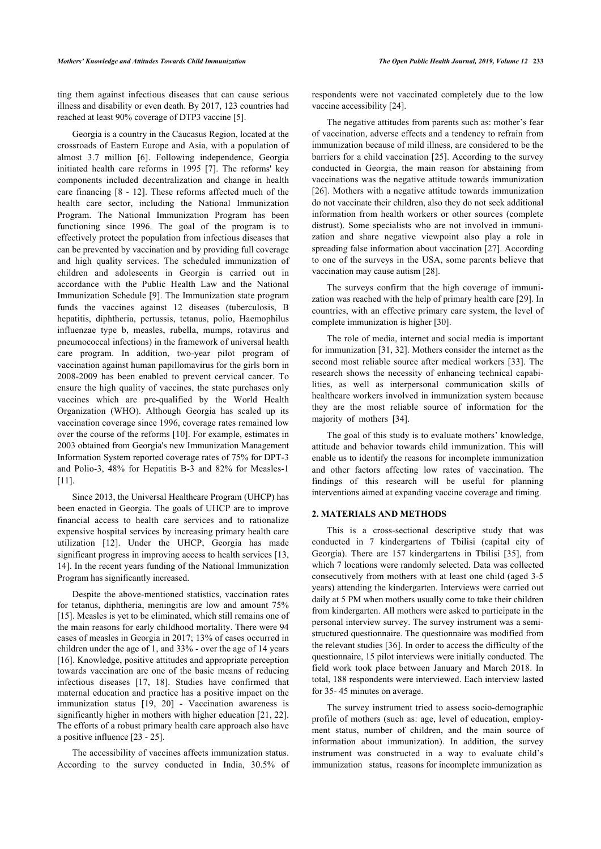ting them against infectious diseases that can cause serious illness and disability or even death. By 2017, 123 countries had reached at least 90% coverage of DTP3 vaccine [\[5\]](#page-5-4).

Georgia is a country in the Caucasus Region, located at the crossroads of Eastern Europe and Asia, with a population of almost 3.7 million [\[6\]](#page-5-5). Following independence, Georgia initiated health care reforms in 1995 [\[7\]](#page-5-6). The reforms' key components included decentralization and change in health care financing [[8](#page-5-7) - [12\]](#page-5-8). These reforms affected much of the health care sector, including the National Immunization Program. The National Immunization Program has been functioning since 1996. The goal of the program is to effectively protect the population from infectious diseases that can be prevented by vaccination and by providing full coverage and high quality services. The scheduled immunization of children and adolescents in Georgia is carried out in accordance with the Public Health Law and the National Immunization Schedule [[9\]](#page-5-9). The Immunization state program funds the vaccines against 12 diseases (tuberculosis, B hepatitis, diphtheria, pertussis, tetanus, polio, Haemophilus influenzae type b, measles, rubella, mumps, rotavirus and pneumococcal infections) in the framework of universal health care program. In addition, two-year pilot program of vaccination against human papillomavirus for the girls born in 2008-2009 has been enabled to prevent cervical cancer. To ensure the high quality of vaccines, the state purchases only vaccines which are pre-qualified by the World Health Organization (WHO). Although Georgia has scaled up its vaccination coverage since 1996, coverage rates remained low over the course of the reforms [[10](#page-5-10)]. For example, estimates in 2003 obtained from Georgia's new Immunization Management Information System reported coverage rates of 75% for DPT-3 and Polio-3, 48% for Hepatitis B-3 and 82% for Measles-1 [[11\]](#page-5-11).

Since 2013, the Universal Healthcare Program (UHCP) has been enacted in Georgia. The goals of UHCP are to improve financial access to health care services and to rationalize expensive hospital services by increasing primary health care utilization[[12\]](#page-5-8). Under the UHCP, Georgia has made significant progress in improving access to health services [[13](#page-5-12), [14\]](#page-5-13). In the recent years funding of the National Immunization Program has significantly increased.

Despite the above-mentioned statistics, vaccination rates for tetanus, diphtheria, meningitis are low and amount 75% [[15\]](#page-5-14). Measles is yet to be eliminated, which still remains one of the main reasons for early childhood mortality. There were 94 cases of measles in Georgia in 2017; 13% of cases occurred in children under the age of 1, and 33% - over the age of 14 years [[16\]](#page-5-15). Knowledge, positive attitudes and appropriate perception towards vaccination are one of the basic means of reducing infectious diseases [\[17](#page-5-16), [18](#page-5-17)]. Studies have confirmed that maternal education and practice has a positive impact on the immunization status [\[19](#page-5-18), [20](#page-5-19)] - Vaccination awareness is significantly higher in mothers with higher education [[21](#page-5-20), [22\]](#page-5-21). The efforts of a robust primary health care approach also have a positive influence [\[23](#page-5-22) - [25\]](#page-5-23).

The accessibility of vaccines affects immunization status. According to the survey conducted in India, 30.5% of respondents were not vaccinated completely due to the low vaccine accessibility [\[24](#page-5-24)].

The negative attitudes from parents such as: mother's fear of vaccination, adverse effects and a tendency to refrain from immunization because of mild illness, are considered to be the barriers for a child vaccination [[25\]](#page-5-23). According to the survey conducted in Georgia, the main reason for abstaining from vaccinations was the negative attitude towards immunization [[26](#page-5-25)]. Mothers with a negative attitude towards immunization do not vaccinate their children, also they do not seek additional information from health workers or other sources (complete distrust). Some specialists who are not involved in immunization and share negative viewpoint also play a role in spreading false information about vaccination [\[27](#page-5-26)]. According to one of the surveys in the USA, some parents believe that vaccination may cause autism [[28\]](#page-5-27).

The surveys confirm that the high coverage of immunization was reached with the help of primary health care [[29\]](#page-5-28). In countries, with an effective primary care system, the level of complete immunization is higher [[30\]](#page-5-29).

The role of media, internet and social media is important for immunization [[31,](#page-5-30) [32\]](#page-5-31). Mothers consider the internet as the second most reliable source after medical workers [\[33\]](#page-5-32). The research shows the necessity of enhancing technical capabilities, as well as interpersonal communication skills of healthcare workers involved in immunization system because they are the most reliable source of information for the majority of mothers[[34\]](#page-5-33).

The goal of this study is to evaluate mothers' knowledge, attitude and behavior towards child immunization. This will enable us to identify the reasons for incomplete immunization and other factors affecting low rates of vaccination. The findings of this research will be useful for planning interventions aimed at expanding vaccine coverage and timing.

## **2. MATERIALS AND METHODS**

This is a cross-sectional descriptive study that was conducted in 7 kindergartens of Tbilisi (capital city of Georgia). There are 157 kindergartens in Tbilisi [\[35\]](#page-5-34), from which 7 locations were randomly selected. Data was collected consecutively from mothers with at least one child (aged 3-5 years) attending the kindergarten. Interviews were carried out daily at 5 PM when mothers usually come to take their children from kindergarten. All mothers were asked to participate in the personal interview survey. The survey instrument was a semistructured questionnaire. The questionnaire was modified from the relevant studies [[36\]](#page-5-35). In order to access the difficulty of the questionnaire, 15 pilot interviews were initially conducted. The field work took place between January and March 2018. In total, 188 respondents were interviewed. Each interview lasted for 35- 45 minutes on average.

The survey instrument tried to assess socio-demographic profile of mothers (such as: age, level of education, employment status, number of children, and the main source of information about immunization). In addition, the survey instrument was constructed in a way to evaluate child's immunization status, reasons for incomplete immunization as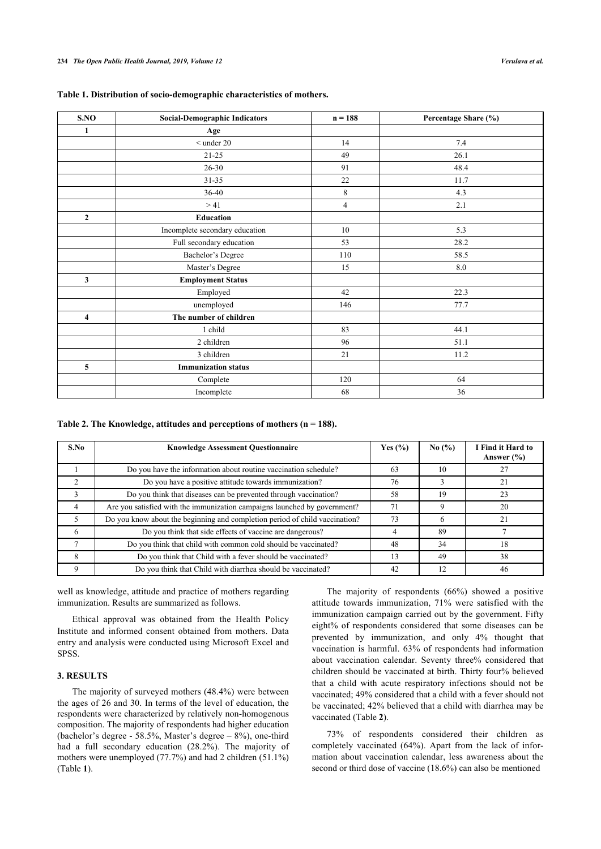<span id="page-2-0"></span>

|  |  |  |  |  |  |  |  | Table 1. Distribution of socio-demographic characteristics of mothers. |  |
|--|--|--|--|--|--|--|--|------------------------------------------------------------------------|--|
|  |  |  |  |  |  |  |  |                                                                        |  |

| S.NO           | <b>Social-Demographic Indicators</b> | $n = 188$ | Percentage Share (%) |
|----------------|--------------------------------------|-----------|----------------------|
| 1              | Age                                  |           |                      |
|                | $<$ under 20                         | 14        | 7.4                  |
|                | $21 - 25$                            | 49        | 26.1                 |
|                | $26 - 30$                            | 91        | 48.4                 |
|                | $31 - 35$                            | 22        | 11.7                 |
|                | 36-40                                | 8         | 4.3                  |
|                | >41                                  | 4         | 2.1                  |
| $\overline{2}$ | <b>Education</b>                     |           |                      |
|                | Incomplete secondary education       | 10        | 5.3                  |
|                | Full secondary education             | 53        | 28.2                 |
|                | Bachelor's Degree                    | 110       | 58.5                 |
|                | Master's Degree                      | 15        | $\ \ 8.0$            |
| $\mathbf{3}$   | <b>Employment Status</b>             |           |                      |
|                | Employed                             | 42        | 22.3                 |
|                | unemployed                           | 146       | 77.7                 |
| 4              | The number of children               |           |                      |
|                | 1 child                              | 83        | 44.1                 |
|                | 2 children                           | 96        | 51.1                 |
|                | 3 children                           | 21        | 11.2                 |
| 5              | <b>Immunization status</b>           |           |                      |
|                | Complete                             | 120       | 64                   |
|                | Incomplete                           | 68        | 36                   |

#### <span id="page-2-1"></span>**Table 2. The Knowledge, attitudes and perceptions of mothers (n = 188).**

| S.No | <b>Knowledge Assessment Questionnaire</b>                                   | Yes $(\% )$ | No $(\% )$ | I Find it Hard to<br>Answer $(\% )$ |
|------|-----------------------------------------------------------------------------|-------------|------------|-------------------------------------|
|      | Do you have the information about routine vaccination schedule?             | 63          | 10         |                                     |
|      | Do you have a positive attitude towards immunization?                       | 76          |            |                                     |
|      | Do you think that diseases can be prevented through vaccination?            | 58          | 19         | 23                                  |
|      | Are you satisfied with the immunization campaigns launched by government?   | 71          |            | 20                                  |
|      | Do you know about the beginning and completion period of child vaccination? | 73          | 6          | 21                                  |
| 6    | Do you think that side effects of vaccine are dangerous?                    |             | 89         |                                     |
|      | Do you think that child with common cold should be vaccinated?              | 48          | 34         | 18                                  |
| 8    | Do you think that Child with a fever should be vaccinated?                  | 13          | 49         | 38                                  |
| Q    | Do you think that Child with diarrhea should be vaccinated?                 | 42          | 12         | 46                                  |

well as knowledge, attitude and practice of mothers regarding immunization. Results are summarized as follows.

Ethical approval was obtained from the Health Policy Institute and informed consent obtained from mothers. Data entry and analysis were conducted using Microsoft Excel and SPSS.

## **3. RESULTS**

The majority of surveyed mothers (48.4%) were between the ages of 26 and 30. In terms of the level of education, the respondents were characterized by relatively non-homogenous composition. The majority of respondents had higher education (bachelor's degree - 58.5%, Master's degree – 8%), one-third had a full secondary education (28.2%). The majority of mothers were unemployed (77.7%) and had 2 children (51.1%) (Table **[1](#page-2-0)**).

The majority of respondents (66%) showed a positive attitude towards immunization, 71% were satisfied with the immunization campaign carried out by the government. Fifty eight% of respondents considered that some diseases can be prevented by immunization, and only 4% thought that vaccination is harmful. 63% of respondents had information about vaccination calendar. Seventy three% considered that children should be vaccinated at birth. Thirty four% believed that a child with acute respiratory infections should not be vaccinated; 49% considered that a child with a fever should not be vaccinated; 42% believed that a child with diarrhea may be vaccinated (Table **[2](#page-2-1)**).

73% of respondents considered their children as completely vaccinated (64%). Apart from the lack of information about vaccination calendar, less awareness about the second or third dose of vaccine (18.6%) can also be mentioned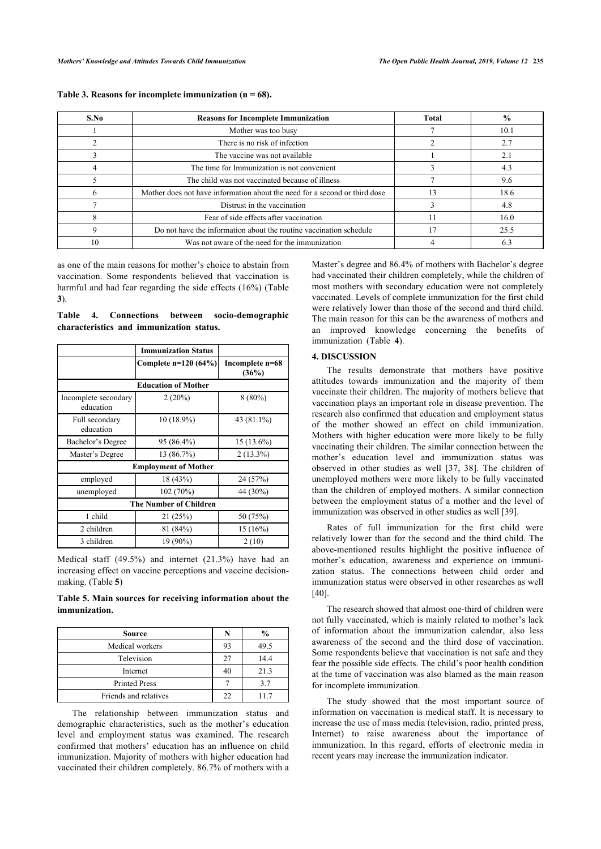| S.No | <b>Reasons for Incomplete Immunization</b>                                 | Total | $\frac{6}{9}$ |
|------|----------------------------------------------------------------------------|-------|---------------|
|      | Mother was too busy                                                        |       | 10.1          |
|      | There is no risk of infection                                              |       | 2.7           |
|      | The vaccine was not available                                              |       | 2.1           |
|      | The time for Immunization is not convenient                                |       | 4.3           |
|      | The child was not vaccinated because of illness                            |       | 9.6           |
|      | Mother does not have information about the need for a second or third dose | 13    | 18.6          |
|      | Distrust in the vaccination                                                |       | 4.8           |
|      | Fear of side effects after vaccination                                     |       | 16.0          |
|      | Do not have the information about the routine vaccination schedule         |       | 25.5          |
| 10   | Was not aware of the need for the immunization                             |       | 6.3           |

<span id="page-3-0"></span>**Table 3. Reasons for incomplete immunization (n = 68).**

as one of the main reasons for mother's choice to abstain from vaccination. Some respondents believed that vaccination is harmful and had fear regarding the side effects (16%) (Table **[3](#page-3-0)**).

<span id="page-3-2"></span>**Table 4. Connections between socio-demographic characteristics and immunization status.**

|                                   | <b>Immunization Status</b>  |                          |  |  |  |  |  |  |
|-----------------------------------|-----------------------------|--------------------------|--|--|--|--|--|--|
|                                   | Complete $n=120(64%)$       | Incomplete n=68<br>(36%) |  |  |  |  |  |  |
| <b>Education of Mother</b>        |                             |                          |  |  |  |  |  |  |
| Incomplete secondary<br>education | 2(20%)                      | $8(80\%)$                |  |  |  |  |  |  |
| Full secondary<br>education       | 10 (18.9%)                  | 43 (81.1%)               |  |  |  |  |  |  |
| Bachelor's Degree                 | 95 (86.4%)                  | $15(13.6\%)$             |  |  |  |  |  |  |
| Master's Degree                   | 13 (86.7%)                  | $2(13.3\%)$              |  |  |  |  |  |  |
|                                   | <b>Employment of Mother</b> |                          |  |  |  |  |  |  |
| employed                          | 18 (43%)                    | 24 (57%)                 |  |  |  |  |  |  |
| unemployed                        | 102 (70%)                   |                          |  |  |  |  |  |  |
| <b>The Number of Children</b>     |                             |                          |  |  |  |  |  |  |
| 1 child                           | 21(25%)                     | 50 (75%)                 |  |  |  |  |  |  |
| 2 children                        | 81 (84%)                    | 15(16%)                  |  |  |  |  |  |  |
| 3 children                        | 19 (90%)                    | 2(10)                    |  |  |  |  |  |  |

Medical staff (49.5%) and internet (21.3%) have had an increasing effect on vaccine perceptions and vaccine decisionmaking. (Table **[5](#page-3-1)**)

<span id="page-3-1"></span>**Table 5. Main sources for receiving information about the immunization.**

| <b>Source</b>         | N  | $\frac{6}{9}$ |
|-----------------------|----|---------------|
| Medical workers       | 93 | 49.5          |
| Television            | 27 | 14.4          |
| Internet              | 40 | 21.3          |
| <b>Printed Press</b>  |    | 3.7           |
| Friends and relatives | າາ | 117           |

The relationship between immunization status and demographic characteristics, such as the mother's education level and employment status was examined. The research confirmed that mothers' education has an influence on child immunization. Majority of mothers with higher education had vaccinated their children completely. 86.7% of mothers with a

Master's degree and 86.4% of mothers with Bachelor's degree had vaccinated their children completely, while the children of most mothers with secondary education were not completely vaccinated. Levels of complete immunization for the first child were relatively lower than those of the second and third child. The main reason for this can be the awareness of mothers and an improved knowledge concerning the benefits of immunization (Table**4**).

## **4. DISCUSSION**

The results demonstrate that mothers have positive attitudes towards immunization and the majority of them vaccinate their children. The majority of mothers believe that vaccination plays an important role in disease prevention. The research also confirmed that education and employment status of the mother showed an effect on child immunization. Mothers with higher education were more likely to be fully vaccinating their children. The similar connection between the mother's education level and immunization status was observed in other studies as well [\[37,](#page-5-36) [38](#page-5-37)]. The children of unemployed mothers were more likely to be fully vaccinated than the children of employed mothers. A similar connection between the employment status of a mother and the level of immunization was observed in other studies as well [[39\]](#page-5-38).

Rates of full immunization for the first child were relatively lower than for the second and the third child. The above-mentioned results highlight the positive influence of mother's education, awareness and experience on immunization status. The connections between child order and immunization status were observed in other researches as well [[40\]](#page-5-39).

The research showed that almost one-third of children were not fully vaccinated, which is mainly related to mother's lack of information about the immunization calendar, also less awareness of the second and the third dose of vaccination. Some respondents believe that vaccination is not safe and they fear the possible side effects. The child's poor health condition at the time of vaccination was also blamed as the main reason for incomplete immunization.

The study showed that the most important source of information on vaccination is medical staff. It is necessary to increase the use of mass media (television, radio, printed press, Internet) to raise awareness about the importance of immunization. In this regard, efforts of electronic media in recent years may increase the immunization indicator.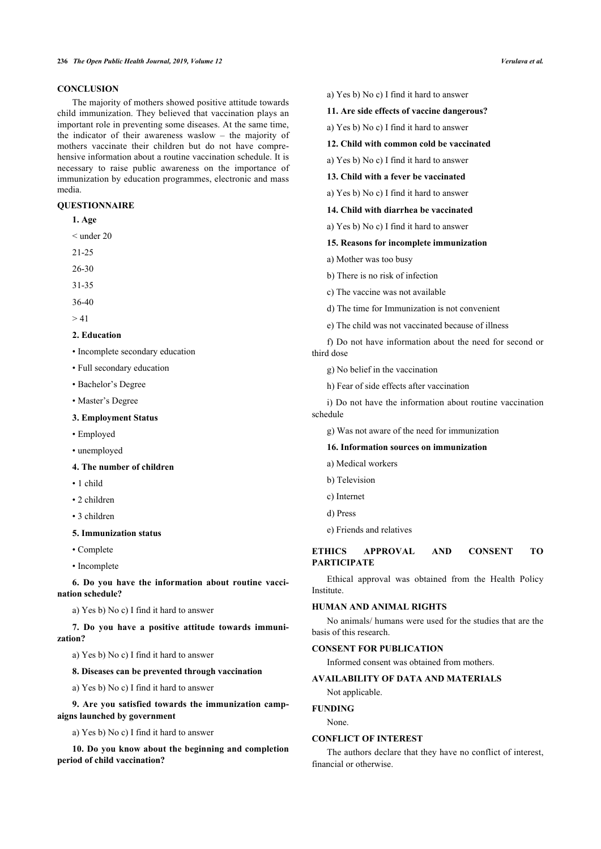#### **236** *The Open Public Health Journal, 2019, Volume 12 Verulava et al.*

## **CONCLUSION**

The majority of mothers showed positive attitude towards child immunization. They believed that vaccination plays an important role in preventing some diseases. At the same time, the indicator of their awareness waslow – the majority of mothers vaccinate their children but do not have comprehensive information about a routine vaccination schedule. It is necessary to raise public awareness on the importance of immunization by education programmes, electronic and mass media.

## **QUESTIONNAIRE**

- **1. Age**
- < under 20
- 21-25
- 26-30
- 31-35
- 36-40
- $> 41$

## **2. Education**

- Incomplete secondary education
- Full secondary education
- Bachelor's Degree
- Master's Degree

#### **3. Employment Status**

- Employed
- unemployed
- **4. The number of children**
- 1 child
- 2 children
- 3 children
- **5. Immunization status**
- Complete
- Incomplete

**6. Do you have the information about routine vaccination schedule?**

a) Yes b) No c) I find it hard to answer

**7. Do you have a positive attitude towards immunization?**

a) Yes b) No c) I find it hard to answer

**8. Diseases can be prevented through vaccination**

a) Yes b) No c) I find it hard to answer

**9. Are you satisfied towards the immunization campaigns launched by government**

a) Yes b) No c) I find it hard to answer

**10. Do you know about the beginning and completion period of child vaccination?**

- a) Yes b) No c) I find it hard to answer
- **11. Are side effects of vaccine dangerous?**
- a) Yes b) No c) I find it hard to answer
- **12. Child with common cold be vaccinated**
- a) Yes b) No c) I find it hard to answer
- **13. Child with a fever be vaccinated**
- a) Yes b) No c) I find it hard to answer
- **14. Child with diarrhea be vaccinated**
- a) Yes b) No c) I find it hard to answer

#### **15. Reasons for incomplete immunization**

- a) Mother was too busy
- b) There is no risk of infection
- c) The vaccine was not available
- d) The time for Immunization is not convenient
- e) The child was not vaccinated because of illness

f) Do not have information about the need for second or third dose

- g) No belief in the vaccination
- h) Fear of side effects after vaccination

i) Do not have the information about routine vaccination schedule

g) Was not aware of the need for immunization

## **16. Information sources on immunization**

- a) Medical workers
- b) Television
- c) Internet
- d) Press
- e) Friends and relatives

## **ETHICS APPROVAL AND CONSENT TO PARTICIPATE**

Ethical approval was obtained from the Health Policy Institute.

## **HUMAN AND ANIMAL RIGHTS**

No animals/ humans were used for the studies that are the basis of this research.

## **CONSENT FOR PUBLICATION**

Informed consent was obtained from mothers.

## **AVAILABILITY OF DATA AND MATERIALS**

Not applicable.

#### **FUNDING**

None.

## **CONFLICT OF INTEREST**

The authors declare that they have no conflict of interest, financial or otherwise.